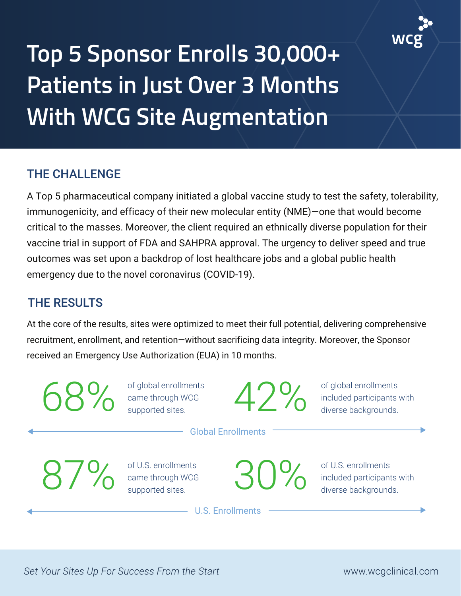

## **Top 5 Sponsor Enrolls 30,000+ Patients in Just Over 3 Months With WCG Site Augmentation**

## THE CHALLENGE

A Top 5 pharmaceutical company initiated a global vaccine study to test the safety, tolerability, immunogenicity, and efficacy of their new molecular entity (NME)—one that would become critical to the masses. Moreover, the client required an ethnically diverse population for their vaccine trial in support of FDA and SAHPRA approval. The urgency to deliver speed and true outcomes was set upon a backdrop of lost healthcare jobs and a global public health emergency due to the novel coronavirus (COVID-19).

## THE RESULTS

At the core of the results, sites were optimized to meet their full potential, delivering comprehensive recruitment, enrollment, and retention—without sacrificing data integrity. Moreover, the Sponsor received an Emergency Use Authorization (EUA) in 10 months.

68% of global enrollments<br>came through WCG<br>supported sites. came through WCG supported sites.

42% of global enrollments included participants with diverse backgrounds.

Global Enrollments

of U.S. enrollments ame through WCG<br>supported sites.

of U.S. enrollments **30% of order containers** with

U.S. Enrollments